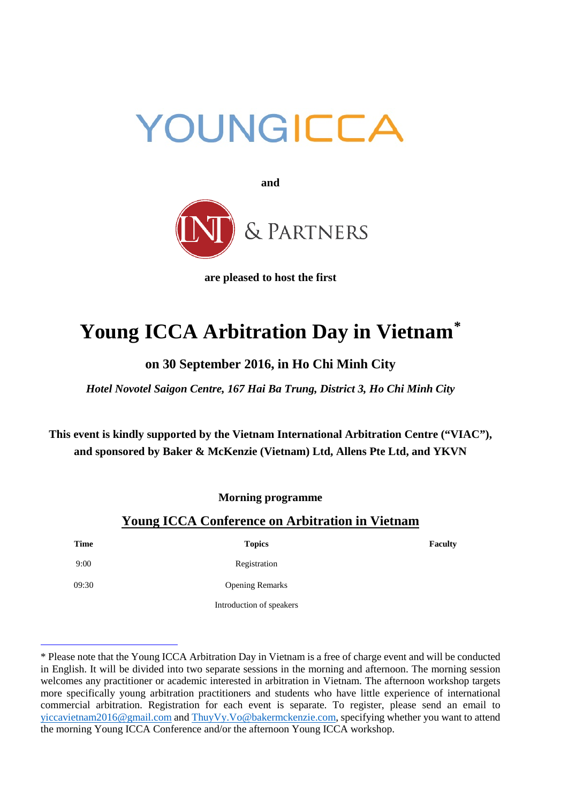



**are pleased to host the first**

# **Young ICCA Arbitration Day in Vietnam[\\*](#page-0-0)**

# **on 30 September 2016, in Ho Chi Minh City**

*Hotel Novotel Saigon Centre, 167 Hai Ba Trung, District 3, Ho Chi Minh City*

**This event is kindly supported by the Vietnam International Arbitration Centre ("VIAC"), and sponsored by Baker & McKenzie (Vietnam) Ltd, Allens Pte Ltd, and YKVN**

**Morning programme**

## **Young ICCA Conference on Arbitration in Vietnam**

**Time Topics Faculty**

 $\overline{a}$ 

9:00 Registration

09:30 Opening Remarks

Introduction of speakers

<span id="page-0-0"></span><sup>\*</sup> Please note that the Young ICCA Arbitration Day in Vietnam is a free of charge event and will be conducted in English. It will be divided into two separate sessions in the morning and afternoon. The morning session welcomes any practitioner or academic interested in arbitration in Vietnam. The afternoon workshop targets more specifically young arbitration practitioners and students who have little experience of international commercial arbitration. Registration for each event is separate. To register, please send an email to [yiccavietnam2016@gmail.com](mailto:yiccavietnam2016@gmail.com) and [ThuyVy.Vo@bakermckenzie.com,](mailto:ThuyVy.Vo@bakermckenzie.com) specifying whether you want to attend the morning Young ICCA Conference and/or the afternoon Young ICCA workshop.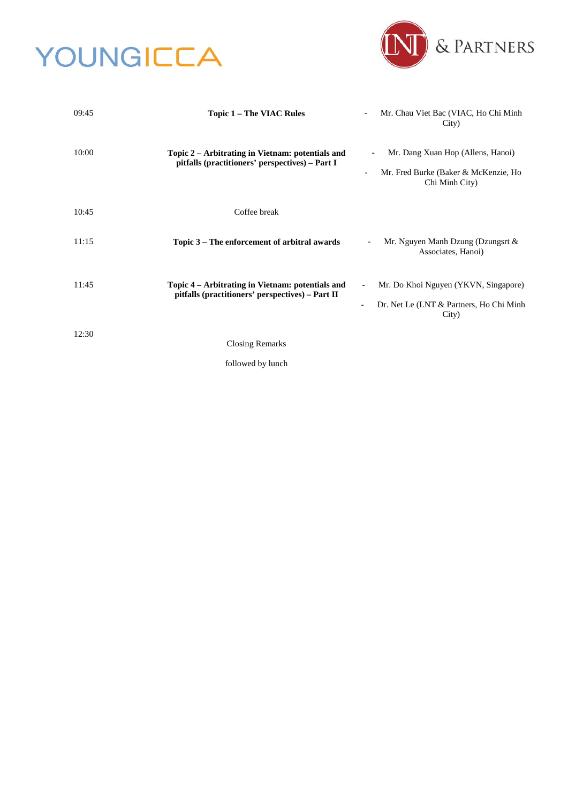# YOUNGICCA



| 09:45 | Topic 1 - The VIAC Rules                                                                             | Mr. Chau Viet Bac (VIAC, Ho Chi Minh<br>City)                                                                           |
|-------|------------------------------------------------------------------------------------------------------|-------------------------------------------------------------------------------------------------------------------------|
| 10:00 | Topic 2 – Arbitrating in Vietnam: potentials and<br>pitfalls (practitioners' perspectives) - Part I  | Mr. Dang Xuan Hop (Allens, Hanoi)<br>Mr. Fred Burke (Baker & McKenzie, Ho<br>$\overline{\phantom{a}}$<br>Chi Minh City) |
| 10:45 | Coffee break                                                                                         |                                                                                                                         |
| 11:15 | Topic 3 – The enforcement of arbitral awards                                                         | Mr. Nguyen Manh Dzung (Dzungsrt &<br>Associates, Hanoi)                                                                 |
| 11:45 | Topic 4 - Arbitrating in Vietnam: potentials and<br>pitfalls (practitioners' perspectives) – Part II | Mr. Do Khoi Nguyen (YKVN, Singapore)<br>Dr. Net Le (LNT & Partners, Ho Chi Minh<br>City)                                |
| 12:30 | <b>Closing Remarks</b><br>followed by lunch                                                          |                                                                                                                         |
|       |                                                                                                      |                                                                                                                         |